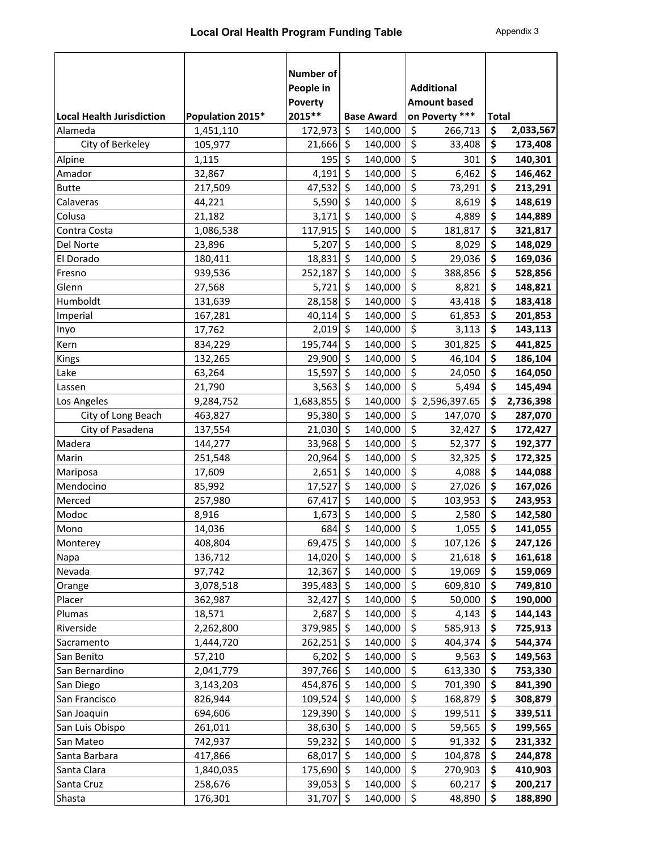| <b>Local Health Jurisdiction</b> | Population 2015* | Number of<br>People in<br><b>Poverty</b><br>2015** |                          | <b>Base Award</b> |                                 | <b>Additional</b><br><b>Amount based</b><br>on Poverty *** | Total                           |           |
|----------------------------------|------------------|----------------------------------------------------|--------------------------|-------------------|---------------------------------|------------------------------------------------------------|---------------------------------|-----------|
| Alameda                          | 1,451,110        | 172,973                                            | \$                       | 140,000           | \$                              | 266,713                                                    | \$                              | 2,033,567 |
| City of Berkeley                 | 105,977          | $21,666$ \$                                        |                          | 140,000           | $\overline{\xi}$                | 33,408                                                     | \$                              | 173,408   |
| Alpine                           | 1,115            | 195                                                | \$                       | 140,000           | \$                              | 301                                                        | \$                              | 140,301   |
| Amador                           | 32,867           | 4,191                                              | \$                       | 140,000           | \$                              | 6,462                                                      | \$                              | 146,462   |
| <b>Butte</b>                     | 217,509          | 47,532                                             | $\overline{\varsigma}$   | 140,000           | $\overline{\xi}$                | 73,291                                                     | \$                              | 213,291   |
| Calaveras                        | 44,221           | $5,590$ \$                                         |                          | 140,000           | $\overline{\xi}$                | 8,619                                                      | \$                              | 148,619   |
| Colusa                           | 21,182           | $3,171$ \$                                         |                          | 140,000           | $\overline{\boldsymbol{\zeta}}$ | 4,889                                                      | \$                              | 144,889   |
| Contra Costa                     | 1,086,538        | 117,915                                            | \$                       | 140,000           | \$                              | 181,817                                                    | \$                              | 321,817   |
| Del Norte                        | 23,896           | 5,207                                              | \$                       | 140,000           | \$                              | 8,029                                                      | \$                              | 148,029   |
| El Dorado                        | 180,411          | 18,831                                             | $\overline{\varsigma}$   | 140,000           | $\overline{\varsigma}$          | 29,036                                                     | \$                              | 169,036   |
| Fresno                           | 939,536          | 252,187 \$                                         |                          | 140,000           | \$                              | 388,856                                                    | \$                              | 528,856   |
| Glenn                            | 27,568           | 5,721                                              | $\overline{\phantom{a}}$ | 140,000           | $\overline{\boldsymbol{\zeta}}$ | 8,821                                                      | \$                              | 148,821   |
| Humboldt                         | 131,639          | 28,158                                             | \$                       | 140,000           | \$                              | 43,418                                                     | \$                              | 183,418   |
| Imperial                         | 167,281          | 40,114 \$                                          |                          | 140,000           | \$                              | 61,853                                                     | \$                              | 201,853   |
| Inyo                             | 17,762           | $2,019$ \$                                         |                          | 140,000           | \$                              | 3,113                                                      | \$                              | 143,113   |
| Kern                             | 834,229          | 195,744                                            | l\$                      | 140,000           | $\overline{\varsigma}$          | 301,825                                                    | \$                              | 441,825   |
| Kings                            | 132,265          | 29,900 \$                                          |                          | 140,000           | $\overline{\xi}$                | 46,104                                                     | \$                              | 186,104   |
| Lake                             | 63,264           | 15,597                                             | \$ ا                     | 140,000           | \$                              | 24,050                                                     | \$                              | 164,050   |
| Lassen                           | 21,790           | $3,563$ \$                                         |                          | 140,000           | $\overline{\xi}$                | 5,494                                                      | \$                              | 145,494   |
| Los Angeles                      | 9,284,752        | 1,683,855 \$                                       |                          | 140,000           | \$                              | 2,596,397.65                                               | \$                              | 2,736,398 |
| City of Long Beach               | 463,827          | $95,380$ \$                                        |                          | 140,000           | $\overline{\xi}$                | 147,070                                                    | \$                              | 287,070   |
| City of Pasadena                 | 137,554          | 21,030 \$                                          |                          | 140,000           | \$                              | 32,427                                                     | \$                              | 172,427   |
| Madera                           | 144,277          | 33,968 \$                                          |                          | 140,000           | \$                              | 52,377                                                     | \$                              | 192,377   |
| Marin                            | 251,548          | 20,964 \$                                          |                          | 140,000           | $\overline{\xi}$                | 32,325                                                     | \$                              | 172,325   |
| Mariposa                         | 17,609           | $2,651$ \$                                         |                          | 140,000           | \$                              | 4,088                                                      | \$                              | 144,088   |
| Mendocino                        | 85,992           | $17,527$ \$                                        |                          | 140,000           | \$                              | 27,026                                                     | \$                              | 167,026   |
| Merced                           | 257,980          | 67,417                                             | $\ddot{\varsigma}$       | 140,000           | $\overline{\xi}$                | 103,953                                                    | \$                              | 243,953   |
| Modoc                            | 8,916            | 1,673                                              | \$                       | 140,000           | \$                              | 2,580                                                      | \$                              | 142,580   |
| Mono                             | 14,036           | 684                                                | $\overline{\varsigma}$   | 140,000           | $\overline{\boldsymbol{\zeta}}$ | 1,055                                                      | $\overline{\boldsymbol{\zeta}}$ | 141,055   |
| Monterey                         | 408,804          | 69,475 \$                                          |                          | 140,000           | \$                              | 107,126                                                    | \$                              | 247,126   |
| Napa                             | 136,712          | 14,020 \$                                          |                          | 140,000           | \$                              | 21,618                                                     | \$                              | 161,618   |
| Nevada                           | 97,742           | 12,367 \$                                          |                          | 140,000           | \$                              | 19,069                                                     | \$                              | 159,069   |
| Orange                           | 3,078,518        | 395,483 \$                                         |                          | 140,000           | \$                              | 609,810                                                    | \$                              | 749,810   |
| Placer                           | 362,987          | 32,427 \$                                          |                          | 140,000           | \$                              | 50,000                                                     | \$                              | 190,000   |
| Plumas                           | 18,571           | $2,687$ \$                                         |                          | 140,000           | $\overline{\xi}$                | 4,143                                                      | \$                              | 144,143   |
| Riverside                        | 2,262,800        | 379,985 \$                                         |                          | 140,000           | \$                              | 585,913                                                    | \$                              | 725,913   |
| Sacramento                       | 1,444,720        | 262,251 \$                                         |                          | 140,000           | \$                              | 404,374                                                    | \$                              | 544,374   |
| San Benito                       | 57,210           | $6,202$ \$                                         |                          | 140,000           | \$                              | 9,563                                                      | \$                              | 149,563   |
| San Bernardino                   | 2,041,779        | 397,766 \$                                         |                          | 140,000           | \$                              | 613,330                                                    | \$                              | 753,330   |
| San Diego                        | 3,143,203        | 454,876 \$                                         |                          | 140,000           | $\overline{\xi}$                | 701,390                                                    | \$                              | 841,390   |
| San Francisco                    | 826,944          | 109,524 \$                                         |                          | 140,000           | \$                              | 168,879                                                    | \$                              | 308,879   |
| San Joaquin                      | 694,606          | 129,390 \$                                         |                          | 140,000           | \$                              | 199,511                                                    | \$                              | 339,511   |
| San Luis Obispo                  | 261,011          | 38,630 \$                                          |                          | 140,000           | \$                              | 59,565                                                     | \$                              | 199,565   |
| San Mateo                        | 742,937          | 59,232 \$                                          |                          | 140,000           | \$                              | 91,332                                                     | \$                              | 231,332   |
| Santa Barbara                    | 417,866          | 68,017 \$                                          |                          | 140,000           | \$                              | 104,878                                                    | \$                              | 244,878   |
| Santa Clara                      | 1,840,035        | 175,690 \$                                         |                          | 140,000           | \$                              | 270,903                                                    | \$                              | 410,903   |
| Santa Cruz                       | 258,676          | 39,053 \$                                          |                          | 140,000           | \$                              | 60,217                                                     | \$                              | 200,217   |
| Shasta                           | 176,301          | 31,707 \$                                          |                          | 140,000           | \$                              | 48,890                                                     | \$                              | 188,890   |
|                                  |                  |                                                    |                          |                   |                                 |                                                            |                                 |           |